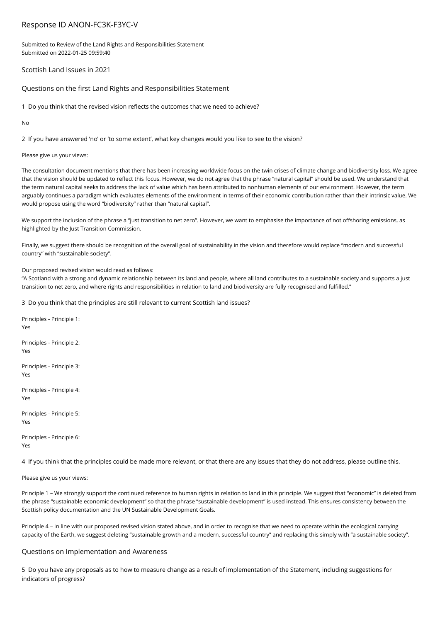# Response ID ANON-FC3K-F3YC-V

Submitted to Review of the Land Rights and Responsibilities Statement Submitted on 2022-01-25 09:59:40

Scottish Land Issues in 2021

Questions on the first Land Rights and Responsibilities Statement

1 Do you think that the revised vision reflects the outcomes that we need to achieve?

No

2 If you have answered 'no' or 'to some extent', what key changes would you like to see to the vision?

# Please give us your views:

The consultation document mentions that there has been increasing worldwide focus on the twin crises of climate change and biodiversity loss. We agree that the vision should be updated to reflect this focus. However, we do not agree that the phrase "natural capital" should be used. We understand that the term natural capital seeks to address the lack of value which has been attributed to nonhuman elements of our environment. However, the term arguably continues a paradigm which evaluates elements of the environment in terms of their economic contribution rather than their intrinsic value. We would propose using the word "biodiversity" rather than "natural capital".

We support the inclusion of the phrase a "just transition to net zero". However, we want to emphasise the importance of not offshoring emissions, as highlighted by the Just Transition Commission.

Finally, we suggest there should be recognition of the overall goal of sustainability in the vision and therefore would replace "modern and successful country" with "sustainable society".

# Our proposed revised vision would read as follows:

"A Scotland with a strong and dynamic relationship between its land and people, where all land contributes to a sustainable society and supports a just transition to net zero, and where rights and responsibilities in relation to land and biodiversity are fully recognised and fulfilled."

3 Do you think that the principles are still relevant to current Scottish land issues?

Principles - Principle 1: Yes Principles - Principle 2: Yes Principles - Principle 3: Yes Principles - Principle 4: Yes Principles - Principle 5: Yes Principles - Principle 6: Yes

4 If you think that the principles could be made more relevant, or that there are any issues that they do not address, please outline this.

Please give us your views:

Principle 1 – We strongly support the continued reference to human rights in relation to land in this principle. We suggest that "economic" is deleted from the phrase "sustainable economic development" so that the phrase "sustainable development" is used instead. This ensures consistency between the Scottish policy documentation and the UN Sustainable Development Goals.

Principle 4 – In line with our proposed revised vision stated above, and in order to recognise that we need to operate within the ecological carrying capacity of the Earth, we suggest deleting "sustainable growth and a modern, successful country" and replacing this simply with "a sustainable society".

# Questions on Implementation and Awareness

5 Do you have any proposals as to how to measure change as a result of implementation of the Statement, including suggestions for indicators of progress?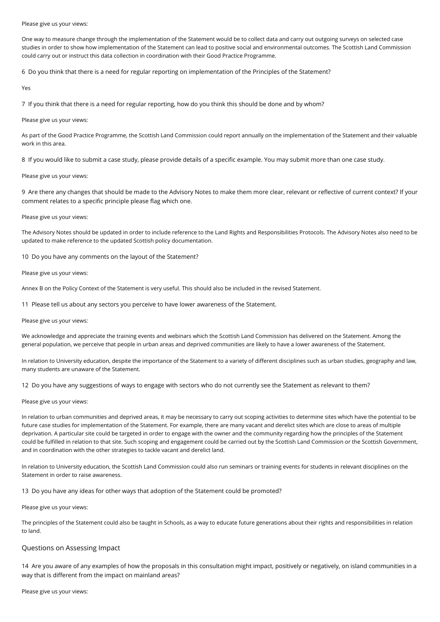#### Please give us your views:

One way to measure change through the implementation of the Statement would be to collect data and carry out outgoing surveys on selected case studies in order to show how implementation of the Statement can lead to positive social and environmental outcomes. The Scottish Land Commission could carry out or instruct this data collection in coordination with their Good Practice Programme.

6 Do you think that there is a need for regular reporting on implementation of the Principles of the Statement?

Yes

7 If you think that there is a need for regular reporting, how do you think this should be done and by whom?

#### Please give us your views:

As part of the Good Practice Programme, the Scottish Land Commission could report annually on the implementation of the Statement and their valuable work in this area.

8 If you would like to submit a case study, please provide details of a specific example. You may submit more than one case study.

#### Please give us your views:

9 Are there any changes that should be made to the Advisory Notes to make them more clear, relevant or reflective of current context? If your comment relates to a specific principle please flag which one.

#### Please give us your views:

The Advisory Notes should be updated in order to include reference to the Land Rights and Responsibilities Protocols. The Advisory Notes also need to be updated to make reference to the updated Scottish policy documentation.

10 Do you have any comments on the layout of the Statement?

#### Please give us your views:

Annex B on the Policy Context of the Statement is very useful. This should also be included in the revised Statement.

11 Please tell us about any sectors you perceive to have lower awareness of the Statement.

#### Please give us your views:

We acknowledge and appreciate the training events and webinars which the Scottish Land Commission has delivered on the Statement. Among the general population, we perceive that people in urban areas and deprived communities are likely to have a lower awareness of the Statement.

In relation to University education, despite the importance of the Statement to a variety of different disciplines such as urban studies, geography and law, many students are unaware of the Statement.

12 Do you have any suggestions of ways to engage with sectors who do not currently see the Statement as relevant to them?

#### Please give us your views:

In relation to urban communities and deprived areas, it may be necessary to carry out scoping activities to determine sites which have the potential to be future case studies for implementation of the Statement. For example, there are many vacant and derelict sites which are close to areas of multiple deprivation. A particular site could be targeted in order to engage with the owner and the community regarding how the principles of the Statement could be fulfilled in relation to that site. Such scoping and engagement could be carried out by the Scottish Land Commission or the Scottish Government, and in coordination with the other strategies to tackle vacant and derelict land.

In relation to University education, the Scottish Land Commission could also run seminars or training events for students in relevant disciplines on the Statement in order to raise awareness.

13 Do you have any ideas for other ways that adoption of the Statement could be promoted?

Please give us your views:

The principles of the Statement could also be taught in Schools, as a way to educate future generations about their rights and responsibilities in relation to land.

# Questions on Assessing Impact

14 Are you aware of any examples of how the proposals in this consultation might impact, positively or negatively, on island communities in a way that is different from the impact on mainland areas?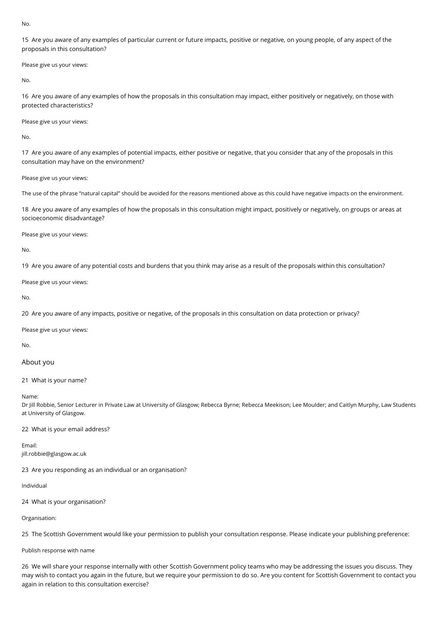No.

15 Are you aware of any examples of particular current or future impacts, positive or negative, on young people, of any aspect of the proposals in this consultation?

Please give us your views:

No.

16 Are you aware of any examples of how the proposals in this consultation may impact, either positively or negatively, on those with protected characteristics?

Please give us your views:

No.

17 Are you aware of any examples of potential impacts, either positive or negative, that you consider that any of the proposals in this consultation may have on the environment?

Please give us your views:

The use of the phrase "natural capital" should be avoided for the reasons mentioned above as this could have negative impacts on the environment.

18 Are you aware of any examples of how the proposals in this consultation might impact, positively or negatively, on groups or areas at socioeconomic disadvantage?

Please give us your views:

No.

19 Are you aware of any potential costs and burdens that you think may arise as a result of the proposals within this consultation?

Please give us your views:

No.

20 Are you aware of any impacts, positive or negative, of the proposals in this consultation on data protection or privacy?

Please give us your views:

No.

# About you

21 What is your name?

Name:

Dr Jill Robbie, Senior Lecturer in Private Law at University of Glasgow; Rebecca Byrne; Rebecca Meekison; Lee Moulder; and Caitlyn Murphy, Law Students at University of Glasgow.

22 What is your email address?

Email: jill.robbie@glasgow.ac.uk

23 Are you responding as an individual or an organisation?

Individual

24 What is your organisation?

Organisation:

25 The Scottish Government would like your permission to publish your consultation response. Please indicate your publishing preference:

Publish response with name

26 We will share your response internally with other Scottish Government policy teams who may be addressing the issues you discuss. They may wish to contact you again in the future, but we require your permission to do so. Are you content for Scottish Government to contact you again in relation to this consultation exercise?